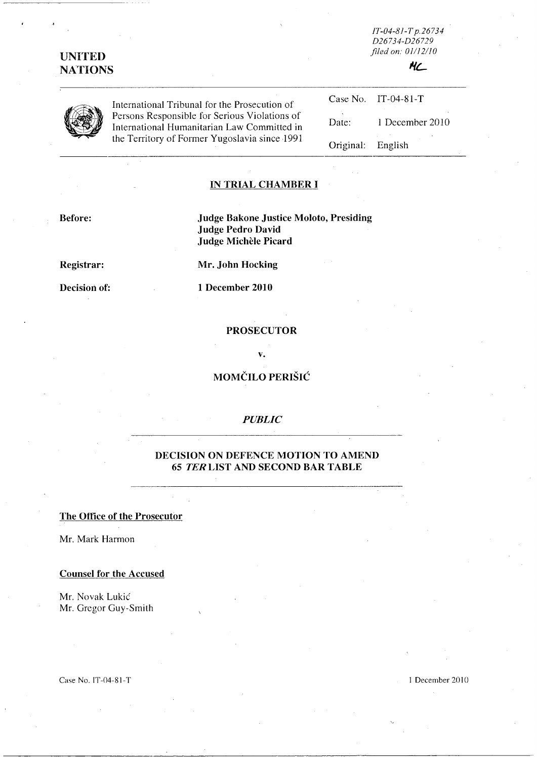# **UNITED NATIONS**

*IT-04-8/-T p.26734 D26734-D26729 filed on: 01112/10* 





International Tribunal for the Prosecution of Persons Responsible for Serious Violations of International Humanitarian Law Committed in the Territory of Former Yugoslavia since 1991

|                   | Case No. IT-04-81-T |
|-------------------|---------------------|
| Date:             | 1 December 2010     |
| Original: English |                     |

#### **IN TRIAL CHAMBER I**

**Before: Judge Bakone Justice Moloto, Presiding Judge Pedro David Judge Michele Picard** 

**Registrar: Mr. John Hocking** 

**Decision of:** 1 December 2010

#### **PROSECUTOR**

**v.** 

# **MOMČILO PERIŠIĆ**

#### *PUBLIC*

## **DECISION ON DEFENCE MOTION TO AMEND 6S TER LIST AND SECOND BAR TABLE**

#### **The Office of the Prosecutor**

Mr. Mark Harmon

#### **Counsel for the Accused**

Mr. Novak Lukic Mr. Gregor Guy-Smith

Case No. IT-04-81-T 1 December 2010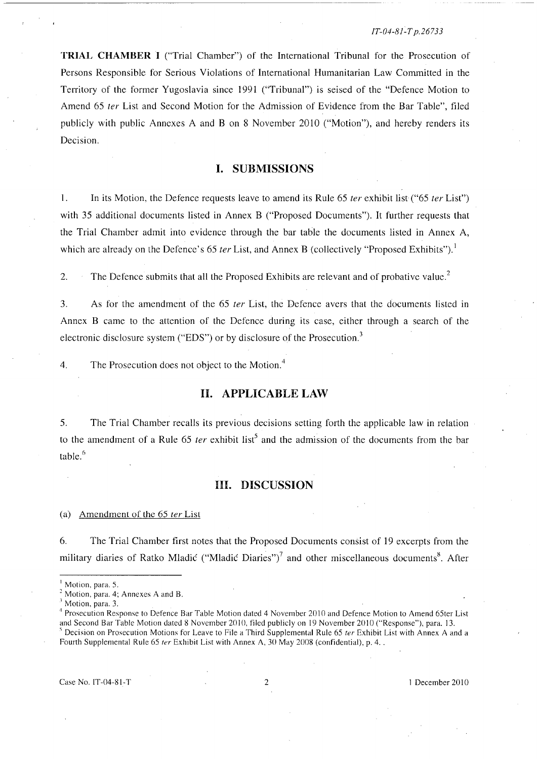#### IT-04-81~T *p.26733*

**TRIAL CHAMBER I** ("Trial Chamber") of the International Tribunal for the Prosecution of Persons Responsible for Serious Violations of International Humanitarian Law Committed in the Territory of the former Yugoslavia since 1991 ("Tribunal") is seised of the "Defence Motion to Amend 65 *ter* List and Second Motion for the Admission of Evidence from the Bar Table", filed publicly with public Annexes A and B on 8 November 2010 ("Motion"), and hereby renders its Decision.

# **I. SUBMISSIONS**

I. **In** its Motion, the Defence requests leave to amend its Rule 65 *ter* exhibit list ("65 *ter* List") with 35 additional documents listed in Annex B ("Proposed Documents"). **It** further requests that the Trial Chamber admit into evidence through the bar table the documents listed in Annex A, which are already on the Defence's 65 *ter* List, and Annex B (collectively "Proposed Exhibits").<sup>1</sup>

2. The Defence submits that all the Proposed Exhibits are relevant and of probative value.<sup>2</sup>

3. As for the amendment of the 65 *ter* List, the Defence avers that the documents listed in Annex B came to the attention of the Defence during its case, either through a search of the electronic disclosure system ("EDS") or by disclosure of the Prosecution.<sup>3</sup>

4. The Prosecution does not object to the Motion.<sup>4</sup>

#### **H. APPLICABLE LAW**

5. The Trial Chamber recalls its previous decisions setting forth the applicable law in relation to the amendment of a Rule 65 *ter* exhibit list<sup>5</sup> and the admission of the documents from the bar table. $6$ 

### **HI. DISCUSSION**

#### (a) Amendment of the  $65$  ter List

6. The Trial Chamber first notes that the Proposed Documents consist of 19 excerpts from the military diaries of Ratko Mladić ("Mladić Diaries")<sup>7</sup> and other miscellaneous documents<sup>8</sup>. After

 $4$  Prosecution Response to Defence Bar Table Motion dated 4 November 2010 and Defence Motion to Amend 65ter List and Second Bar Table Motion dated S November 2010, filed publicly on 19 November 2010 ("Response"), para. 13.  $<sup>5</sup>$  Decision on Prosecution Motions for Leave to File a Third Supplemental Rule 65 ter Exhibit List with Annex A and a</sup> Fourth Supplemental Rule 65 *ter* Exhibit List with Annex A, 30 May 2008 (confidential), p. 4...

Case No. IT-04-81-T 2 2 1 December 2010

Motion, para. 5.

Motion, para. 4; Annexes A and B.

Motion, para. 3.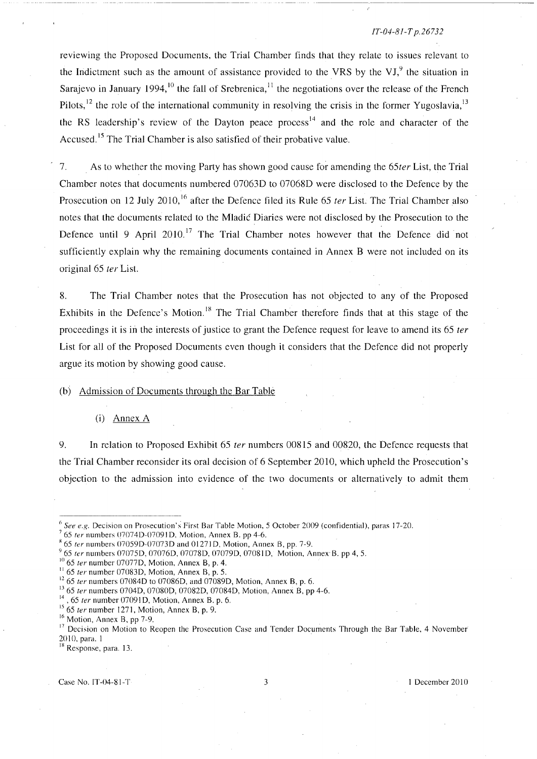#### *JT-04-8/-T p.26732*

reviewing the Proposed Documents, the Trial Chamber finds that they relate to issues relevant to the Indictment such as the amount of assistance provided to the VRS by the VJ $<sup>9</sup>$ , the situation in</sup> Sarajevo in January 1994, <sup>10</sup> the fall of Srebrenica, <sup>11</sup> the negotiations over the release of the French Pilots,<sup>12</sup> the role of the international community in resolving the crisis in the former Yugoslavia,<sup>13</sup> the RS leadership's review of the Dayton peace process<sup>14</sup> and the role and character of the Accused.<sup>15</sup> The Trial Chamber is also satisfied of their probative value.

7. As to whether the moving Party has shown good cause for amending the *65ter* List, the Trial Chamber notes that documents numbered 070630 to 070680 were disclosed to the Defence by the Prosecution on 12 July 2010,<sup>16</sup> after the Defence filed its Rule 65 *ter* List. The Trial Chamber also notes that the documents related to the Mladic Diaries were not disclosed by the Prosecution to the Defence until 9 April  $2010$ .<sup>17</sup> The Trial Chamber notes however that the Defence did not sufficiently explain why the remaining documents contained in Annex B were not included on its original 65 *ter* List.

8. The Trial Chamber notes that the Prosecution has not objected to any of the Proposed Exhibits in the Defence's Motion.<sup>18</sup> The Trial Chamber therefore finds that at this stage of the proceedings it is in the interests of justice to grant the Defence request for leave to amend its 65 *ter*  List for all of the Proposed Documents even though it considers that the Defence did not properly argue its motion by showing good cause.

### (b) Admission of Documents through the Bar Table

#### (i) Annex A

9. **In** relation to Proposed Exhibit 65 *ter* numbers 00815 and 00820, the Defence requests that the Trial Chamber reconsider its oral decision of 6 September 2010, which upheld the Prosecution's objection to the admission into evidence of the two documents or alternatively to admit them

 $6$  See e.g. Decision on Prosecution's First Bar Table Motion, 5 October 2009 (confidential), paras 17-20.

 $765$  ter numbers 07074D-07091D, Motion, Annex B. pp 4-6.

 $865$  ter numbers 07059D-07073D and 01271D, Motion, Annex B, pp. 7-9.

<sup>&</sup>lt;sup>9</sup> 65 ter numbers 07075D, 07076D, 07078D, 07079D, 07081D, Motion, Annex B. pp 4, 5.

 $10$  65 ter number 07077D, Motion, Annex B, p. 4.

 $11$  65 fer number 07083D, Motion, Annex B, p. 5.

 $12$  65 ter numbers 07084D to 07086D, and 07089D, Motion, Annex B, p. 6.

<sup>&</sup>lt;sup>13</sup> 65 ter numbers 0704D, 07080D, 07082D, 07084D, Motion, Annex B, pp 4-6.

 $14$ , 65 ter number 07091D, Motion, Annex B. p. 6.

 $15$  65 ter number 1271, Motion, Annex B, p. 9.

 $16$  Motion, Annex B, pp 7-9.

<sup>&</sup>lt;sup>17</sup> Decision on Motion to Reopen the Prosecution Case and Tender Documents Through the Bar Table, 4 November 201(), para. 1

<sup>&</sup>lt;sup>18</sup> Response, para. 13.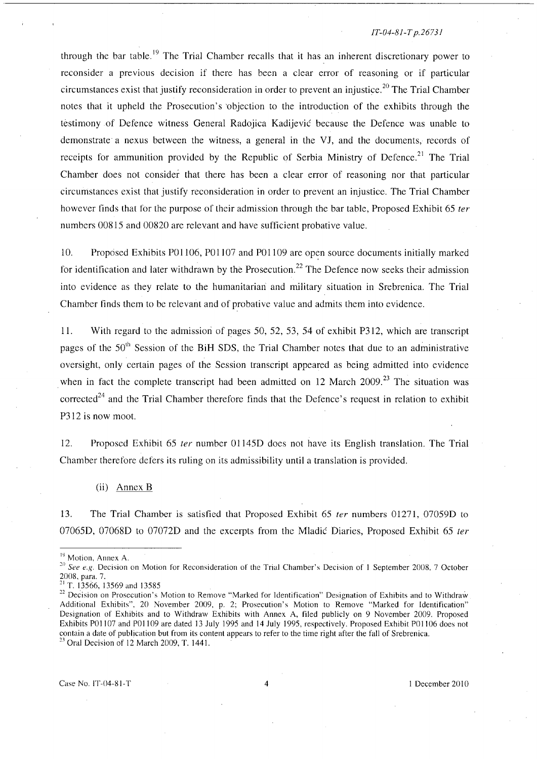#### *IT-04-8J-T p.2673J*

through the bar table.<sup>19</sup> The Trial Chamber recalls that it has an inherent discretionary power to reconsider a previous decision if there has been a clear error of reasoning or if particular circumstances exist that justify reconsideration in order to prevent an injustice.<sup>20</sup> The Trial Chamber notes that it upheld the Prosecution's 'objection to the introduction of the exhibits through the testimony of Defence witness General Radojica Kadijevic because the Defence was unable to demonstrate a nexus between the witness, a general in the VJ, and the documents, records of receipts for ammunition provided by the Republic of Serbia Ministry of Defence.<sup>21</sup> The Trial Chamber does not consider that there has been a clear error of reasoning nor that particular circumstances exist that justify reconsideration in order to prevent an injustice. The Trial Chamber however finds that for the purpose of their admission through the bar table, Proposed Exhibit 65 *ter*  numbers 00815 and 00820 are relevant and have sufficient probative value.

10. Proposed Exhibits P01106, P01107 and P01109 are open source documents initially marked for identification and later withdrawn by the Prosecution.<sup>22</sup> The Defence now seeks their admission into evidence as they relate to the humanitarian and military situation in Srebrenica. The Trial Chamber finds them to be relevant and of probative value and admits them into evidence.

11. With regard to the admission of pages 50, 52, 53, 54 of exhibit P312, which are transcript pages of the  $50<sup>th</sup>$  Session of the BiH SDS, the Trial Chamber notes that due to an administrative oversight, only certain pages of the Session transcript appeared as being admitted into evidence when in fact the complete transcript had been admitted on 12 March 2009.<sup>23</sup> The situation was corrected<sup>24</sup> and the Trial Chamber therefore finds that the Defence's request in relation to exhibit P312 is now moot.

12. Proposed Exhibit 65 *ter* number 01145D does not have its English translation. The Trial Chamber therefore defers its ruling on its admissibility until a translation is provided.

(ii) Annex B

13. The Trial Chamber is satisfied that Proposed Exhibit 65 *ter* numbers 01271, 07059D to 07065D, 07068D to 07072D and the excerpts from the Mladic Diaries, Proposed Exhibit 65 *ter* 

<sup>&</sup>lt;sup>19</sup> Motion, Annex A.

<sup>&</sup>lt;sup>20</sup> See e.g. Decision on Motion for Reconsideration of the Trial Chamber's Decision of 1 September 2008, 7 October 2008, para. 7.

<sup>&</sup>lt;sup>21</sup> T. 13566, 13569 and 13585

<sup>&</sup>lt;sup>22</sup> Decision on Prosecution's Motion to Remove "Marked for Identification" Designation of Exhibits and to Withdraw Additional Exhibits", 20 November 2009, p. 2; Prosecution's Motion to Remove "Marked for Identification" Designation of Exhibits and to Withdraw Exhibits with Annex A, filed publicly on 9 November 2009. Proposed Exhibits P01107 and P01109 are dated 13 July 1995 and 14 July 1995, respectively. Proposed Exhibit P01106 does not contain a date of publication but from its content appears to refer to the time right after the fall of Srebrenica.  $23$  Oral Decision of 12 March 2009, T. 1441.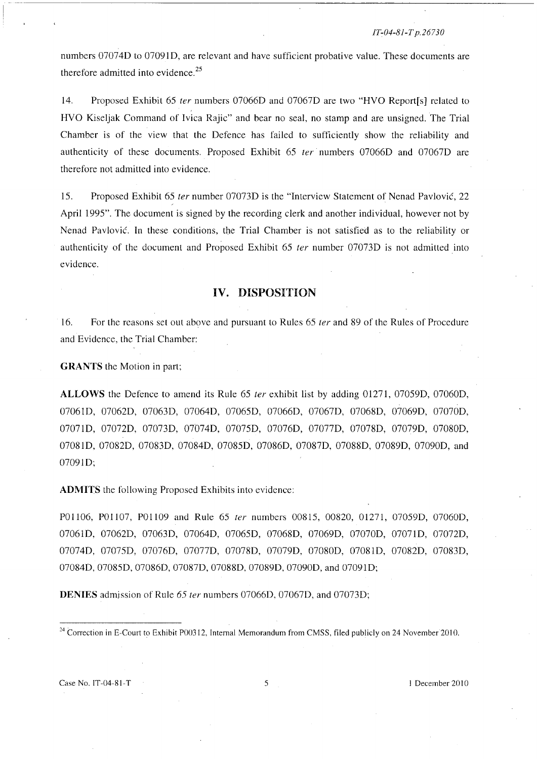JT~04-81-T *p.26730* 

numbers 070740 to 070910, are relevant and have sufficient probative value. These documents are therefore admitted into evidence.<sup>25</sup>

14. Proposed Exhibit 65 ter numbers 070660 and 070670 are two "HVO Report[s] related to HVO Kiseljak Command of Ivica Rajic" and bear no seal, no stamp and are unsigned. The Trial Chamber is of the view that the Oefence has failed to sufficiently show the reliability and authenticity of these documents. Proposed Exhibit 65 ter numbers 07066D and 07067D are therefore not admitted into evidence.

15. Proposed Exhibit 65 ter number 07073D is the "Interview Statement of Nenad Pavlović, 22 April 1995". The document is signed by the recording clerk and another individual, however not by Nenad Pavlovic. In these conditions, the Trial Chamber is not satisfied as to the reliability or authenticity of the document and Proposed Exhibit 65 fer number 070730 is not admitted into evidence.

## **IV. DISPOSITION**

16. For the reasons set out above and pursuant to Rules 65 ter and 89 of the Rules of Procedure and Evidence, the Trial Chamber:

**GRANTS** the Motion in part;

ALLOWS the Defence to amend its Rule 65 *ter* exhibit list by adding 01271, 07059D, 07060D, 070610, 070620, 070630, 070640, 070650, 070660, 070670, 070680, 070690, 070700, 070710, 070720, 070730, 070740, 070750, 070760, 070770, 070780, 070790, 070800, 070810, 070820, 070830, 070840, 070850, 070860, 070870, 070880, 070890, 070900, and 070910;

**ADMITS** the following Proposed Exhihits into evidence:

POII06, POlI07, POlI09 and Rule 65 ter numbers 00815, 00820, 01271, 070590, 070600, 070610, 070620, 070630, 070640, 070650, 070680, 070690, 070700, 070710, 070720, 070740, 070750, 070760, 070770, 070780, 070790, 070800, 070810, 070820, 070830, 07084D, 07085D, 07086D, 07087D, 07088D, 07089D, 07090D, and 07091D;

**DENIES** admission of Rule 65 *ter* numbers 07066D, 07067D, and 07073D;

Case No. IT-04-81-T 5 I December 2010

 $24$  Correction in E-Court to Exhibit P00312, Internal Memorandum from CMSS, filed publicly on 24 November 2010.